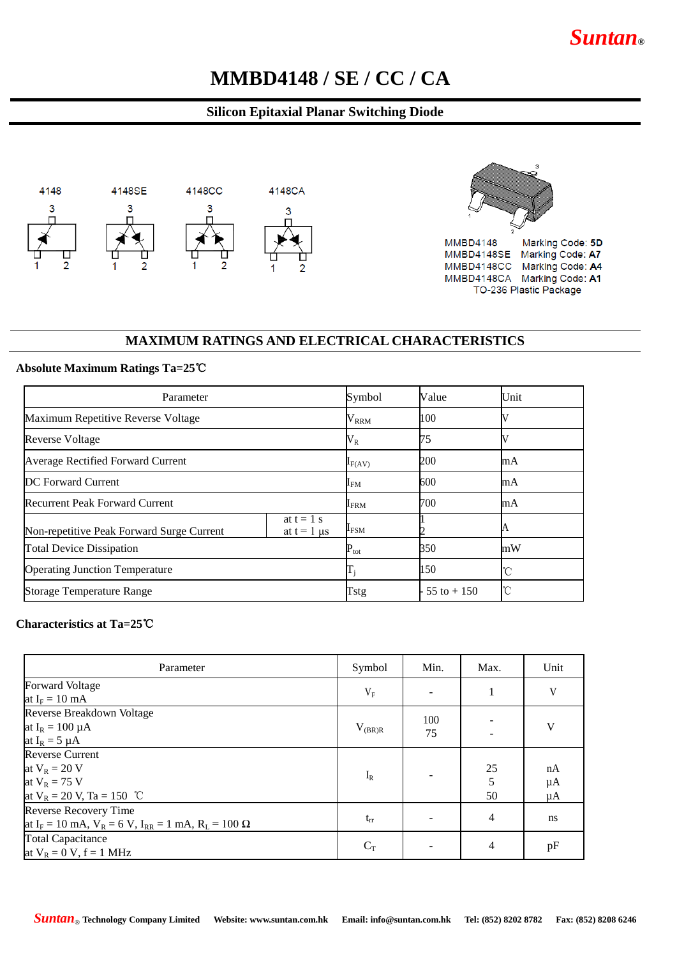# *Suntan***®**

## **MMBD4148 / SE / CC / CA**

### **Silicon Epitaxial Planar Switching Diode**





Marking Code: 5D MMBD4148SE Marking Code: A7 MMBD4148CC Marking Code: A4 MMBD4148CA Marking Code: A1 TO-236 Plastic Package

### **MAXIMUM RATINGS AND ELECTRICAL CHARACTERISTICS**

#### **Absolute Maximum Ratings Ta=25**℃

| Parameter                                 |                               | Symbol                     | Value           | Unit |
|-------------------------------------------|-------------------------------|----------------------------|-----------------|------|
| Maximum Repetitive Reverse Voltage        |                               | $\rm V_{\rm RRM}$          | 100             |      |
| <b>Reverse Voltage</b>                    |                               | $V_{R}$                    | 75              |      |
| <b>Average Rectified Forward Current</b>  |                               | $E_{F(AV)}$                | 200             | mA   |
| DC Forward Current                        |                               | $\mathbf{I}_{\mathrm{FM}}$ | 600             | mA   |
| <b>Recurrent Peak Forward Current</b>     |                               | $1$ FRM                    | 700             | mA   |
| Non-repetitive Peak Forward Surge Current | at $t = 1$ s<br>at $t = 1$ us | $1_{\rm FSM}$              |                 | А    |
| <b>Total Device Dissipation</b>           |                               | $\mathbf{P}_{\text{tot}}$  | 350             | mW   |
| <b>Operating Junction Temperature</b>     |                               |                            | 150             | °C   |
| <b>Storage Temperature Range</b>          |                               | Tstg                       | $-55$ to $+150$ | °C   |

#### **Characteristics at Ta=25**℃

| Parameter                                                                                              | Symbol      | Min. | Max. | Unit |
|--------------------------------------------------------------------------------------------------------|-------------|------|------|------|
| <b>Forward Voltage</b>                                                                                 | $V_F$       |      | 1    | V    |
| at $I_F = 10$ mA                                                                                       |             |      |      |      |
| Reverse Breakdown Voltage                                                                              |             | 100  |      |      |
| at $I_R = 100 \mu A$                                                                                   | $V_{(BR)R}$ | 75   |      | V    |
| at $I_R = 5 \mu A$                                                                                     |             |      |      |      |
| <b>Reverse Current</b>                                                                                 |             |      |      |      |
| at $V_R = 20 V$                                                                                        | $I_R$       |      | 25   | nA   |
| at $V_R = 75$ V                                                                                        |             |      | 5    | μA   |
| at $V_R = 20$ V, Ta = 150 °C                                                                           |             |      | 50   | μA   |
| Reverse Recovery Time                                                                                  |             |      |      |      |
| at I <sub>F</sub> = 10 mA, V <sub>R</sub> = 6 V, I <sub>RR</sub> = 1 mA, R <sub>L</sub> = 100 $\Omega$ | $t_{rr}$    |      | 4    | ns   |
| <b>Total Capacitance</b>                                                                               |             |      |      |      |
| at $V_R = 0 V$ , $f = 1 MHz$                                                                           | $C_T$       |      | 4    | pF   |